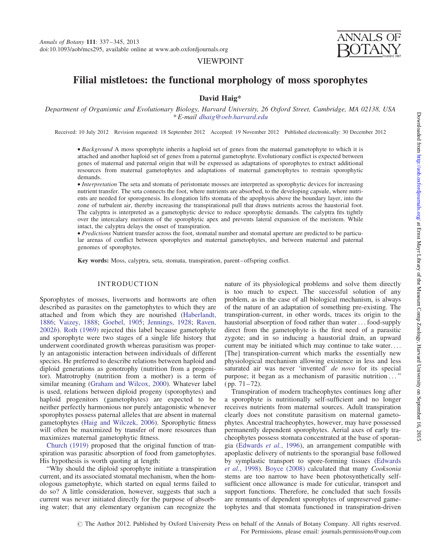**ANNALS OF BOTANY** 

## VIEWPOINT

# Filial mistletoes: the functional morphology of moss sporophytes

David Haig\*

Department of Organismic and Evolutionary Biology, Harvard University, 26 Oxford Street, Cambridge, MA 02138, USA \* E-mail [dhaig@oeb.harvard.edu](mailto:dhaig@oeb.harvard.edu)

Received: 10 July 2012 Revision requested: 18 September 2012 Accepted: 19 November 2012 Published electronically: 30 December 2012

• Background A moss sporophyte inherits a haploid set of genes from the maternal gametophyte to which it is attached and another haploid set of genes from a paternal gametophyte. Evolutionary conflict is expected between genes of maternal and paternal origin that will be expressed as adaptations of sporophytes to extract additional resources from maternal gametophytes and adaptations of maternal gametophytes to restrain sporophytic demands.

• Interpretation The seta and stomata of peristomate mosses are interpreted as sporophytic devices for increasing nutrient transfer. The seta connects the foot, where nutrients are absorbed, to the developing capsule, where nutrients are needed for sporogenesis. Its elongation lifts stomata of the apophysis above the boundary layer, into the zone of turbulent air, thereby increasing the transpirational pull that draws nutrients across the haustorial foot. The calyptra is interpreted as a gametophytic device to reduce sporophytic demands. The calyptra fits tightly over the intercalary meristem of the sporophytic apex and prevents lateral expansion of the meristem. While intact, the calyptra delays the onset of transpiration.

† Predictions Nutrient transfer across the foot, stomatal number and stomatal aperture are predicted to be particular arenas of conflict between sporophytes and maternal gametophytes, and between maternal and paternal genomes of sporophytes.

Key words: Moss, calyptra, seta, stomata, transpiration, parent –offspring conflict.

## INTRODUCTION

Sporophytes of mosses, liverworts and hornworts are often described as parasites on the gametophytes to which they are attached and from which they are nourished ([Haberlandt,](#page-7-0) [1886;](#page-7-0) [Vaizey, 1888](#page-8-0); [Goebel, 1905](#page-7-0); [Jennings, 1928](#page-7-0); [Raven,](#page-8-0) [2002](#page-8-0)b). [Roth \(1969\)](#page-8-0) rejected this label because gametophyte and sporophyte were two stages of a single life history that underwent coordinated growth whereas parasitism was properly an antagonistic interaction between individuals of different species. He preferred to describe relations between haploid and diploid generations as gonotrophy (nutrition from a progenitor). Matrotrophy (nutrition from a mother) is a term of similar meaning [\(Graham and Wilcox, 2000\)](#page-7-0). Whatever label is used, relations between diploid progeny (sporophytes) and haploid progenitors (gametophytes) are expected to be neither perfectly harmonious nor purely antagonistic whenever sporophytes possess paternal alleles that are absent in maternal gametophytes ([Haig and Wilczek, 2006\)](#page-7-0). Sporophytic fitness will often be maximized by transfer of more resources than maximizes maternal gametophytic fitness.

[Church \(1919\)](#page-7-0) proposed that the original function of transpiration was parasitic absorption of food from gametophytes. His hypothesis is worth quoting at length:

"Why should the diploid sporophyte initiate a transpiration current, and its associated stomatal mechanism, when the homologous gametophyte, which started on equal terms failed to do so? A little consideration, however, suggests that such a current was never initiated directly for the purpose of absorbing water; that any elementary organism can recognize the nature of its physiological problems and solve them directly is too much to expect. The successful solution of any problem, as in the case of all biological mechanism, is always of the nature of an adaptation of something pre-existing. The transpiration-current, in other words, traces its origin to the haustorial absorption of food rather than water ... food-supply direct from the gametophyte is the first need of a parasitic zygote; and in so inducing a haustorial drain, an upward current may be initiated which may continue to take water. ... [The] transpiration-current which marks the essentially new physiological mechanism allowing existence in less and less saturated air was never 'invented' de novo for its special purpose; it began as a mechanism of parasitic nutrition ...'  $(pp. 71-72).$ 

Transpiration of modern tracheophytes continues long after a sporophyte is nutritionally self-sufficient and no longer receives nutrients from maternal sources. Adult transpiration clearly does not constitute parasitism on maternal gametophytes. Ancestral tracheophytes, however, may have possessed permanently dependent sporophytes. Aerial axes of early tracheophytes possess stomata concentrated at the base of sporangia ([Edwards](#page-7-0) et al., 1996), an arrangement compatible with apoplastic delivery of nutrients to the sporangial base followed by symplastic transport to spore-forming tissues ([Edwards](#page-7-0) et al.[, 1998](#page-7-0)). [Boyce \(2008\)](#page-7-0) calculated that many Cooksonia stems are too narrow to have been photosynthetically selfsufficient once allowance is made for cuticular, transport and support functions. Therefore, he concluded that such fossils are remnants of dependent sporophytes of unpreserved gametophytes and that stomata functioned in transpiration-driven

© The Author 2012. Published by Oxford University Press on behalf of the Annals of Botany Company. All rights reserved. For Permissions, please email: journals.permissions@oup.com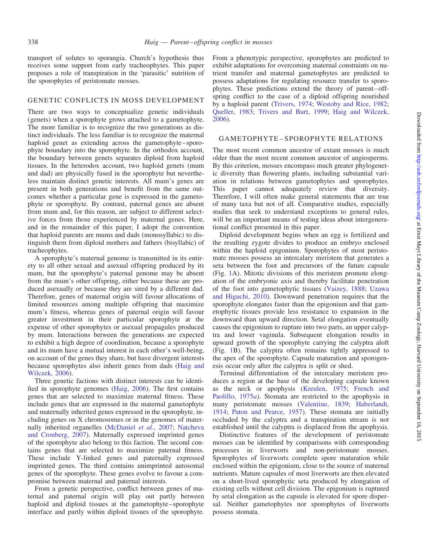transport of solutes to sporangia. Church's hypothesis thus receives some support from early tracheophytes. This paper proposes a role of transpiration in the 'parasitic' nutrition of the sporophytes of peristomate mosses.

## GENETIC CONFLICTS IN MOSS DEVELOPMENT

There are two ways to conceptualize genetic individuals (genets) when a sporophyte grows attached to a gametophyte. The more familiar is to recognize the two generations as distinct individuals. The less familiar is to recognize the maternal haploid genet as extending across the gametophyte-sporophyte boundary into the sporophyte. In the orthodox account, the boundary between genets separates diploid from haploid tissues. In the heterodox account, two haploid genets (mum and dad) are physically fused in the sporophyte but nevertheless maintain distinct genetic interests. All mum's genes are present in both generations and benefit from the same outcomes whether a particular gene is expressed in the gametophyte or sporophyte. By contrast, paternal genes are absent from mum and, for this reason, are subject to different selective forces from those experienced by maternal genes. Here, and in the remainder of this paper, I adopt the convention that haploid parents are mums and dads (monosyllabic) to distinguish them from diploid mothers and fathers (bisyllabic) of tracheophytes.

A sporophyte's maternal genome is transmitted in its entirety to all other sexual and asexual offspring produced by its mum, but the sporophyte's paternal genome may be absent from the mum's other offspring, either because these are produced asexually or because they are sired by a different dad. Therefore, genes of maternal origin will favour allocations of limited resources among multiple offspring that maximize mum's fitness, whereas genes of paternal origin will favour greater investment in their particular sporophyte at the expense of other sporophytes or asexual propagules produced by mum. Interactions between the generations are expected to exhibit a high degree of coordination, because a sporophyte and its mum have a mutual interest in each other's well-being, on account of the genes they share, but have divergent interests because sporophytes also inherit genes from dads ([Haig and](#page-7-0) [Wilczek, 2006\)](#page-7-0).

Three genetic factions with distinct interests can be identified in sporophyte genomes [\(Haig, 2006\)](#page-7-0). The first contains genes that are selected to maximize maternal fitness. These include genes that are expressed in the maternal gametophyte and maternally inherited genes expressed in the sporophyte, including genes on X chromosomes or in the genomes of maternally inherited organelles [\(McDaniel](#page-8-0) et al., 2007; [Natcheva](#page-8-0) [and Cronberg, 2007](#page-8-0)). Maternally expressed imprinted genes of the sporophyte also belong to this faction. The second contains genes that are selected to maximize paternal fitness. These include Y-linked genes and paternally expressed imprinted genes. The third contains unimprinted autosomal genes of the sporophyte. These genes evolve to favour a compromise between maternal and paternal interests.

From a genetic perspective, conflict between genes of maternal and paternal origin will play out partly between haploid and diploid tissues at the gametophyte–sporophyte interface and partly within diploid tissues of the sporophyte. From a phenotypic perspective, sporophytes are predicted to exhibit adaptations for overcoming maternal constraints on nutrient transfer and maternal gametophytes are predicted to possess adaptations for regulating resource transfer to sporophytes. These predictions extend the theory of parent-offspring conflict to the case of a diploid offspring nourished by a haploid parent ([Trivers, 1974;](#page-8-0) [Westoby and Rice, 1982;](#page-8-0) [Queller, 1983](#page-8-0); [Trivers and Burt, 1999;](#page-8-0) [Haig and Wilczek,](#page-7-0) [2006\)](#page-7-0).

## GAMETOPHYTE – SPOROPHYTE RELATIONS

The most recent common ancestor of extant mosses is much older than the most recent common ancestor of angiosperms. By this criterion, mosses encompass much greater phylogenetic diversity than flowering plants, including substantial variation in relations between gametophytes and sporophytes. This paper cannot adequately review that diversity. Therefore, I will often make general statements that are true of many taxa but not of all. Comparative studies, especially studies that seek to understand exceptions to general rules, will be an important means of testing ideas about intergenerational conflict presented in this paper.

Diploid development begins when an egg is fertilized and the resulting zygote divides to produce an embryo enclosed within the haploid epigonium. Sporophytes of most peristomate mosses possess an intercalary meristem that generates a seta between the foot and precursors of the future capsule (Fig. [1A](#page-2-0)). Mitotic divisions of this meristem promote elongation of the embryonic axis and thereby facilitate penetration of the foot into gametophytic tissues [\(Vaizey, 1888](#page-8-0); [Uzawa](#page-8-0) [and Higuchi, 2010](#page-8-0)). Downward penetration requires that the sporophyte elongates faster than the epigonium and that gametophytic tissues provide less resistance to expansion in the downward than upward direction. Setal elongation eventually causes the epigonium to rupture into two parts, an upper calyptra and lower vaginula. Subsequent elongation results in upward growth of the sporophyte carrying the calyptra aloft (Fig. [1](#page-2-0)B). The calyptra often remains tightly appressed to the apex of the sporophyte. Capsule maturation and sporogenesis occur only after the calyptra is split or shed.

Terminal differentiation of the intercalary meristem produces a region at the base of the developing capsule known as the neck or apophysis ([Kreulen, 1975](#page-7-0); [French and](#page-7-0) [Paolillo, 1975](#page-7-0)a). Stomata are restricted to the apophysis in many peristomate mosses [\(Valentine, 1839;](#page-8-0) [Haberlandt,](#page-7-0) [1914;](#page-7-0) [Paton and Pearce, 1957\)](#page-8-0). These stomata are initially occluded by the calyptra and a transpiration stream is not established until the calyptra is displaced from the apophysis.

Distinctive features of the development of peristomate mosses can be identified by comparisons with corresponding processes in liverworts and non-peristomate mosses. Sporophytes of liverworts complete spore maturation while enclosed within the epigonium, close to the source of maternal nutrients. Mature capsules of most liverworts are then elevated on a short-lived sporophytic seta produced by elongation of existing cells without cell division. The epigonium is ruptured by setal elongation as the capsule is elevated for spore dispersal. Neither gametophytes nor sporophytes of liverworts possess stomata.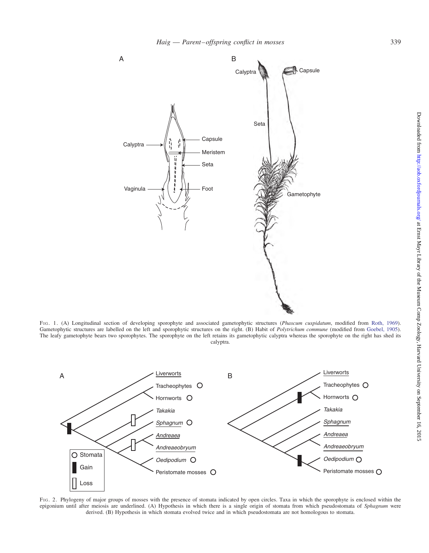<span id="page-2-0"></span>

FIG. 1. (A) Longitudinal section of developing sporophyte and associated gametophytic structures (Phascum cuspidatum, modified from [Roth, 1969](#page-8-0)). Gametophytic structures are labelled on the left and sporophytic structures on the right. (B) Habit of Polytrichum commune (modified from [Goebel, 1905](#page-7-0)). The leafy gametophyte bears two sporophytes. The sporophyte on the left retains its gametophytic calyptra whereas the sporophyte on the right has shed its calyptra.



FIG. 2. Phylogeny of major groups of mosses with the presence of stomata indicated by open circles. Taxa in which the sporophyte is enclosed within the epigonium until after meiosis are underlined. (A) Hypothesis in which there is a single origin of stomata from which pseudostomata of Sphagnum were derived. (B) Hypothesis in which stomata evolved twice and in which pseudostomata are not homologous to stomata.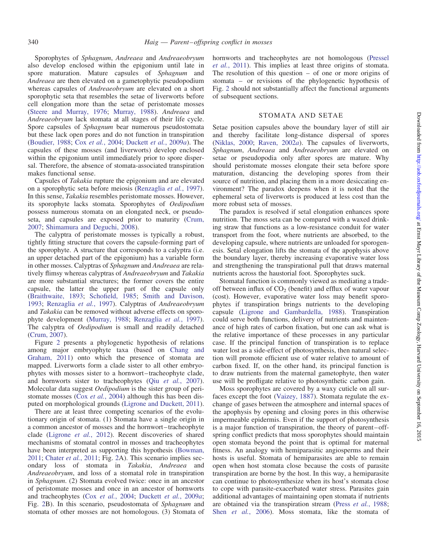Sporophytes of Sphagnum, Andreaea and Andreaeobryum also develop enclosed within the epigonium until late in spore maturation. Mature capsules of Sphagnum and Andreaea are then elevated on a gametophytic pseudopodium whereas capsules of Andreaeobryum are elevated on a short sporophytic seta that resembles the setae of liverworts before cell elongation more than the setae of peristomate mosses ([Steere and Murray, 1976;](#page-8-0) [Murray, 1988](#page-8-0)). Andreaea and Andreaeobryum lack stomata at all stages of their life cycle. Spore capsules of Sphagnum bear numerous pseudostomata but these lack open pores and do not function in transpiration ([Boudier, 1988](#page-7-0); Cox et al.[, 2004;](#page-7-0) [Duckett](#page-7-0) et al., 2009 $a$ ). The capsules of these mosses (and liverworts) develop enclosed within the epigonium until immediately prior to spore dispersal. Therefore, the absence of stomata-associated transpiration makes functional sense.

Capsules of Takakia rupture the epigonium and are elevated on a sporophytic seta before meiosis ([Renzaglia](#page-8-0) et al., 1997). In this sense, Takakia resembles peristomate mosses. However, its sporophyte lacks stomata. Sporophytes of Oedipodium possess numerous stomata on an elongated neck, or pseudoseta, and capsules are exposed prior to maturity [\(Crum,](#page-7-0) [2007;](#page-7-0) [Shimamura and Deguchi, 2008\)](#page-8-0).

The calyptra of peristomate mosses is typically a robust, tightly fitting structure that covers the capsule-forming part of the sporophyte. A structure that corresponds to a calyptra (i.e. an upper detached part of the epigonium) has a variable form in other mosses. Calyptras of Sphagnum and Andreaea are relatively flimsy whereas calyptras of Andreaeobryum and Takakia are more substantial structures; the former covers the entire capsule, the latter the upper part of the capsule only ([Braithwaite, 1893;](#page-7-0) [Schofield, 1985;](#page-8-0) [Smith and Davison,](#page-8-0) [1993;](#page-8-0) [Renzaglia](#page-8-0) et al., 1997). Calyptras of Andreaeobryum and Takakia can be removed without adverse effects on sporophyte development ([Murray, 1988;](#page-8-0) [Renzaglia](#page-8-0) et al., 1997). The calyptra of Oedipodium is small and readily detached ([Crum, 2007\)](#page-7-0).

Figure [2](#page-2-0) presents a phylogenetic hypothesis of relations among major embryophyte taxa (based on [Chang and](#page-7-0) [Graham, 2011\)](#page-7-0) onto which the presence of stomata are mapped. Liverworts form a clade sister to all other embryophytes with mosses sister to a hornwort –tracheophyte clade, and hornworts sister to tracheophytes (Qiu et al.[, 2007\)](#page-8-0). Molecular data suggest Oedipodium is the sister group of peristomate mosses (Cox *et al.*[, 2004](#page-7-0)) although this has been disputed on morphological grounds [\(Ligrone and Duckett, 2011\)](#page-7-0).

There are at least three competing scenarios of the evolutionary origin of stomata. (1) Stomata have a single origin in a common ancestor of mosses and the hornwort –tracheophyte clade ([Ligrone](#page-8-0) et al., 2012). Recent discoveries of shared mechanisms of stomatal control in mosses and tracheophytes have been interpreted as supporting this hypothesis ([Bowman,](#page-7-0) [2011](#page-7-0); [Chater](#page-7-0) et al., 2011; Fig. [2A](#page-2-0)). This scenario implies secondary loss of stomata in Takakia, Andreaea and Andreaeobryum, and loss of a stomatal role in transpiration in Sphagnum. (2) Stomata evolved twice: once in an ancestor of peristomate mosses and once in an ancestor of hornworts and tracheophytes (Cox et al.[, 2004;](#page-7-0) [Duckett](#page-7-0) et al., 2009a; Fig. [2B](#page-2-0)). In this scenario, pseudostomata of Sphagnum and stomata of other mosses are not homologous. (3) Stomata of hornworts and tracheophytes are not homologous [\(Pressel](#page-8-0) et al.[, 2011](#page-8-0)). This implies at least three origins of stomata. The resolution of this question – of one or more origins of stomata – or revisions of the phylogenetic hypothesis of Fig. [2](#page-2-0) should not substantially affect the functional arguments of subsequent sections.

#### STOMATA AND SETAE

Setae position capsules above the boundary layer of still air and thereby facilitate long-distance dispersal of spores ([Niklas, 2000](#page-8-0); [Raven, 2002](#page-8-0)a). The capsules of liverworts, Sphagnum, Andreaea and Andreaeobryum are elevated on setae or pseudopodia only after spores are mature. Why should peristomate mosses elongate their seta before spore maturation, distancing the developing spores from their source of nutrition, and placing them in a more desiccating environment? The paradox deepens when it is noted that the ephemeral seta of liverworts is produced at less cost than the more robust seta of mosses.

The paradox is resolved if setal elongation enhances spore nutrition. The moss seta can be compared with a waxed drinking straw that functions as a low-resistance conduit for water transport from the foot, where nutrients are absorbed, to the developing capsule, where nutrients are unloaded for sporogenesis. Setal elongation lifts the stomata of the apophysis above the boundary layer, thereby increasing evaporative water loss and strengthening the transpirational pull that draws maternal nutrients across the haustorial foot. Sporophytes suck.

Stomatal function is commonly viewed as mediating a tradeoff between influx of  $CO<sub>2</sub>$  (benefit) and efflux of water vapour (cost). However, evaporative water loss may benefit sporophytes if transpiration brings nutrients to the developing capsule ([Ligrone and Gambardella, 1988\)](#page-7-0). Transpiration could serve both functions, delivery of nutrients and maintenance of high rates of carbon fixation, but one can ask what is the relative importance of these processes in any particular case. If the principal function of transpiration is to replace water lost as a side-effect of photosynthesis, then natural selection will promote efficient use of water relative to amount of carbon fixed. If, on the other hand, its principal function is to draw nutrients from the maternal gametophyte, then water use will be profligate relative to photosynthetic carbon gain.

Moss sporophytes are covered by a waxy cuticle on all surfaces except the foot ([Vaizey, 1887\)](#page-8-0). Stomata regulate the exchange of gases between the atmosphere and internal spaces of the apophysis by opening and closing pores in this otherwise impermeable epidermis. Even if the support of photosynthesis is a major function of transpiration, the theory of parent–offspring conflict predicts that moss sporophytes should maintain open stomata beyond the point that is optimal for maternal fitness. An analogy with hemiparasitic angiosperms and their hosts is useful. Stomata of hemiparasites are able to remain open when host stomata close because the costs of parasite transpiration are borne by the host. In this way, a hemiparasite can continue to photosynthesize when its host's stomata close to cope with parasite-exacerbated water stress. Parasites gain additional advantages of maintaining open stomata if nutrients are obtained via the transpiration stream (Press et al.[, 1988;](#page-8-0) Shen et al.[, 2006](#page-8-0)). Moss stomata, like the stomata of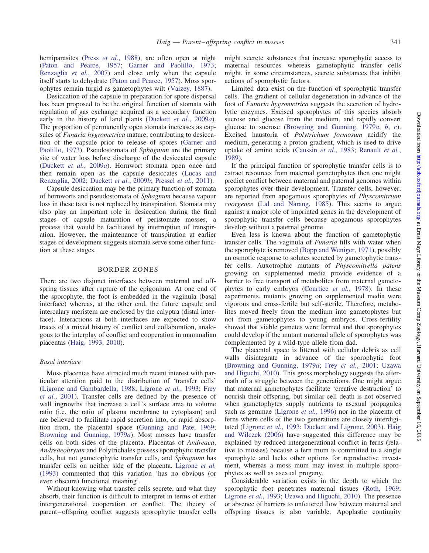hemiparasites (Press *et al.*[, 1988\)](#page-8-0), are often open at night [\(Paton and Pearce, 1957](#page-8-0); [Garner and Paolillo, 1973;](#page-7-0) [Renzaglia](#page-8-0) et al., 2007) and close only when the capsule itself starts to dehydrate ([Paton and Pearce, 1957\)](#page-8-0). Moss sporophytes remain turgid as gametophytes wilt [\(Vaizey, 1887\)](#page-8-0).

Desiccation of the capsule in preparation for spore dispersal has been proposed to be the original function of stomata with regulation of gas exchange acquired as a secondary function early in the history of land plants [\(Duckett](#page-7-0) *et al.*, 2009*a*). The proportion of permanently open stomata increases as capsules of Funaria hygrometrica mature, contributing to desiccation of the capsule prior to release of spores [\(Garner and](#page-7-0) [Paolillo, 1973](#page-7-0)). Pseudostomata of Sphagnum are the primary site of water loss before discharge of the desiccated capsule [\(Duckett](#page-7-0) et al., 2009a). Hornwort stomata open once and then remain open as the capsule desiccates [\(Lucas and](#page-8-0) [Renzaglia, 2002;](#page-8-0) [Duckett](#page-7-0) et al., 2009b; [Pressel](#page-8-0) et al., 2011).

Capsule desiccation may be the primary function of stomata of hornworts and pseudostomata of Sphagnum because vapour loss in these taxa is not replaced by transpiration. Stomata may also play an important role in desiccation during the final stages of capsule maturation of peristomate mosses, a process that would be facilitated by interruption of transpiration. However, the maintenance of transpiration at earlier stages of development suggests stomata serve some other function at these stages.

#### BORDER ZONES

There are two disjunct interfaces between maternal and offspring tissues after rupture of the epigonium. At one end of the sporophyte, the foot is embedded in the vaginula (basal interface) whereas, at the other end, the future capsule and intercalary meristem are enclosed by the calyptra (distal interface). Interactions at both interfaces are expected to show traces of a mixed history of conflict and collaboration, analogous to the interplay of conflict and cooperation in mammalian placentas ([Haig, 1993,](#page-7-0) [2010\)](#page-7-0).

#### Basal interface

Moss placentas have attracted much recent interest with particular attention paid to the distribution of 'transfer cells' [\(Ligrone and Gambardella, 1988;](#page-7-0) [Ligrone](#page-8-0) et al., 1993; [Frey](#page-7-0) et al.[, 2001](#page-7-0)). Transfer cells are defined by the presence of wall ingrowths that increase a cell's surface area to volume ratio (i.e. the ratio of plasma membrane to cytoplasm) and are believed to facilitate rapid secretion into, or rapid absorption from, the placental space ([Gunning and Pate, 1969;](#page-7-0) [Browning and Gunning, 1979](#page-7-0)a). Most mosses have transfer cells on both sides of the placenta. Placentas of Andreaea, Andreaeobryum and Polytrichales possess sporophytic transfer cells, but not gametophytic transfer cells, and Sphagnum has transfer cells on neither side of the placenta. [Ligrone](#page-8-0) et al. [\(1993\)](#page-8-0) commented that this variation 'has no obvious (or even obscure) functional meaning'.

Without knowing what transfer cells secrete, and what they absorb, their function is difficult to interpret in terms of either intergenerational cooperation or conflict. The theory of parent– offspring conflict suggests sporophytic transfer cells might secrete substances that increase sporophytic access to maternal resources whereas gametophytic transfer cells might, in some circumstances, secrete substances that inhibit actions of sporophytic factors.

Limited data exist on the function of sporophytic transfer cells. The gradient of cellular degeneration in advance of the foot of Funaria hygrometrica suggests the secretion of hydrolytic enzymes. Excised sporophytes of this species absorb sucrose and glucose from the medium, and rapidly convert glucose to sucrose ([Browning and Gunning, 1979](#page-7-0)a, [b](#page-7-0), [c](#page-7-0)). Excised haustoria of Polytrichum formosum acidify the medium, generating a proton gradient, which is used to drive uptake of amino acids [\(Caussin](#page-7-0) et al., 1983; [Renault](#page-8-0) et al., [1989\)](#page-8-0).

If the principal function of sporophytic transfer cells is to extract resources from maternal gametophytes then one might predict conflict between maternal and paternal genomes within sporophytes over their development. Transfer cells, however, are reported from apogamous sporophytes of Physcomitrium coorgense [\(Lal and Narang, 1985\)](#page-7-0). This seems to argue against a major role of imprinted genes in the development of sporophytic transfer cells because apogamous sporophytes develop without a paternal genome.

Even less is known about the function of gametophytic transfer cells. The vaginula of Funaria fills with water when the sporophyte is removed [\(Bopp and Weniger, 1971](#page-7-0)), possibly an osmotic response to solutes secreted by gametophytic transfer cells. Auxotrophic mutants of Physcomitrella patens growing on supplemented media provide evidence of a barrier to free transport of metabolites from maternal gameto-phytes to early embryos ([Courtice](#page-7-0) et al., 1978). In these experiments, mutants growing on supplemented media were vigorous and cross-fertile but self-sterile. Therefore, metabolites moved freely from the medium into gametophytes but not from gametophytes to young embryos. Cross-fertility showed that viable gametes were formed and that sporophytes could develop if the mutant maternal allele of sporophytes was complemented by a wild-type allele from dad.

The placental space is littered with cellular debris as cell walls disintegrate in advance of the sporophytic foot [\(Browning and Gunning, 1979](#page-7-0)a; Frey et al.[, 2001](#page-7-0); [Uzawa](#page-8-0) [and Higuchi, 2010\)](#page-8-0). This gross morphology suggests the aftermath of a struggle between the generations. One might argue that maternal gametophytes facilitate 'creative destruction' to nourish their offspring, but similar cell death is not observed when gametophytes supply nutrients to asexual propagules such as gemmae [\(Ligrone](#page-8-0) et al., 1996) nor in the placenta of ferns where cells of the two generations are closely interdigi-tated ([Ligrone](#page-8-0) et al., 1993; [Duckett and Ligrone, 2003](#page-7-0)). [Haig](#page-7-0) [and Wilczek \(2006\)](#page-7-0) have suggested this difference may be explained by reduced intergenerational conflict in ferns (relative to mosses) because a fern mum is committed to a single sporophyte and lacks other options for reproductive investment, whereas a moss mum may invest in multiple sporophytes as well as asexual progeny.

Considerable variation exists in the depth to which the sporophytic foot penetrates maternal tissues ([Roth, 1969;](#page-8-0) [Ligrone](#page-8-0) et al., 1993; [Uzawa and Higuchi, 2010\)](#page-8-0). The presence or absence of barriers to unfettered flow between maternal and offspring tissues is also variable. Apoplastic continuity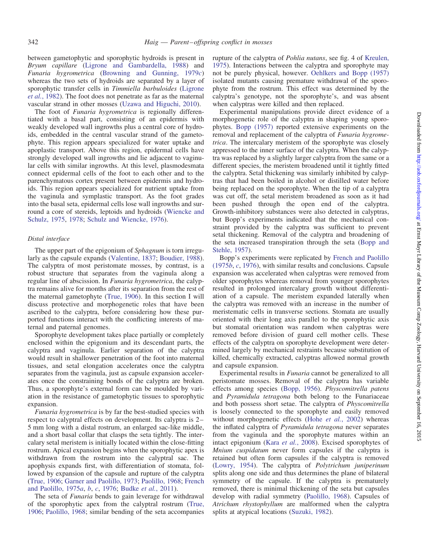between gametophytic and sporophytic hydroids is present in Bryum capillare ([Ligrone and Gambardella, 1988\)](#page-7-0) and Funaria hygrometrica [\(Browning and Gunning, 1979](#page-7-0)c) whereas the two sets of hydroids are separated by a layer of sporophytic transfer cells in Timmiella barbuloides ([Ligrone](#page-8-0) et al.[, 1982](#page-8-0)). The foot does not penetrate as far as the maternal vascular strand in other mosses ([Uzawa and Higuchi, 2010](#page-8-0)).

The foot of *Funaria hygrometrica* is regionally differentiated with a basal part, consisting of an epidermis with weakly developed wall ingrowths plus a central core of hydroids, embedded in the central vascular strand of the gametophyte. This region appears specialized for water uptake and apoplastic transport. Above this region, epidermal cells have strongly developed wall ingrowths and lie adjacent to vaginular cells with similar ingrowths. At this level, plasmodesmata connect epidermal cells of the foot to each other and to the parenchymatous cortex present between epidermis and hydroids. This region appears specialized for nutrient uptake from the vaginula and symplastic transport. As the foot grades into the basal seta, epidermal cells lose wall ingrowths and surround a core of stereids, leptoids and hydroids [\(Wiencke and](#page-8-0) [Schulz, 1975,](#page-8-0) [1978;](#page-8-0) [Schulz and Wiencke, 1976](#page-8-0)).

#### Distal interface

The upper part of the epigonium of *Sphagnum* is torn irregularly as the capsule expands [\(Valentine, 1837;](#page-8-0) [Boudier, 1988\)](#page-7-0). The calyptra of most peristomate mosses, by contrast, is a robust structure that separates from the vaginula along a regular line of abscission. In Funaria hygrometrica, the calyptra remains alive for months after its separation from the rest of the maternal gametophyte ([True, 1906\)](#page-8-0). In this section I will discuss protective and morphogenetic roles that have been ascribed to the calyptra, before considering how these purported functions interact with the conflicting interests of maternal and paternal genomes.

Sporophyte development takes place partially or completely enclosed within the epigonium and its descendant parts, the calyptra and vaginula. Earlier separation of the calyptra would result in shallower penetration of the foot into maternal tissues, and setal elongation accelerates once the calyptra separates from the vaginula, just as capsule expansion accelerates once the constraining bonds of the calyptra are broken. Thus, a sporophyte's external form can be moulded by variation in the resistance of gametophytic tissues to sporophytic expansion.

Funaria hygrometrica is by far the best-studied species with respect to calyptral effects on development. Its calyptra is 2– 5 mm long with a distal rostrum, an enlarged sac-like middle, and a short basal collar that clasps the seta tightly. The intercalary setal meristem is initially located within the close-fitting rostrum. Apical expansion begins when the sporophytic apex is withdrawn from the rostrum into the calyptral sac. The apophysis expands first, with differentiation of stomata, followed by expansion of the capsule and rupture of the calyptra ([True, 1906;](#page-8-0) [Garner and Paolillo, 1973](#page-7-0); [Paolillo, 1968](#page-8-0); [French](#page-7-0) [and Paolillo, 1975](#page-7-0)a, [b](#page-7-0), [c](#page-7-0), [1976](#page-7-0); Budke et al.[, 2011\)](#page-7-0).

The seta of *Funaria* bends to gain leverage for withdrawal of the sporophytic apex from the calyptral rostrum [\(True,](#page-8-0) [1906;](#page-8-0) [Paolillo, 1968](#page-8-0); similar bending of the seta accompanies rupture of the calyptra of Pohlia nutans, see fig. 4 of [Kreulen,](#page-7-0) [1975\)](#page-7-0). Interactions between the calyptra and sporophyte may not be purely physical, however. [Oehlkers and Bopp \(1957\)](#page-8-0) isolated mutants causing premature withdrawal of the sporophyte from the rostrum. This effect was determined by the calyptra's genotype, not the sporophyte's, and was absent when calyptras were killed and then replaced.

Experimental manipulations provide direct evidence of a morphogenetic role of the calyptra in shaping young sporophytes. [Bopp \(1957\)](#page-7-0) reported extensive experiments on the removal and replacement of the calyptra of Funaria hygrometrica. The intercalary meristem of the sporophyte was closely appressed to the inner surface of the calyptra. When the calyptra was replaced by a slightly larger calyptra from the same or a different species, the meristem broadened until it tightly fitted the calyptra. Setal thickening was similarly inhibited by calyptras that had been boiled in alcohol or distilled water before being replaced on the sporophyte. When the tip of a calyptra was cut off, the setal meristem broadened as soon as it had been pushed through the open end of the calyptra. Growth-inhibitory substances were also detected in calyptras, but Bopp's experiments indicated that the mechanical constraint provided by the calyptra was sufficient to prevent setal thickening. Removal of the calyptra and broadening of the seta increased transpiration through the seta ([Bopp and](#page-7-0) [Stehle, 1957\)](#page-7-0).

Bopp's experiments were replicated by [French and Paolillo](#page-7-0) [\(1975](#page-7-0)b, [c](#page-7-0), [1976](#page-7-0)), with similar results and conclusions. Capsule expansion was accelerated when calyptras were removed from older sporophytes whereas removal from younger sporophytes resulted in prolonged intercalary growth without differentiation of a capsule. The meristem expanded laterally when the calyptra was removed with an increase in the number of meristematic cells in transverse sections. Stomata are usually oriented with their long axis parallel to the sporophytic axis but stomatal orientation was random when calyptras were removed before division of guard cell mother cells. These effects of the calyptra on sporophyte development were determined largely by mechanical restraints because substitution of killed, chemically extracted, calyptras allowed normal growth and capsule expansion.

Experimental results in Funaria cannot be generalized to all peristomate mosses. Removal of the calyptra has variable effects among species ([Bopp, 1956\)](#page-7-0). Physcomitrella patens and Pyramidula tetragona both belong to the Funariaceae and both possess short setae. The calyptra of Physcomitrella is loosely connected to the sporophyte and easily removed without morphogenetic effects (Hohe  $et$  al.[, 2002\)](#page-7-0) whereas the inflated calyptra of Pyramidula tetragona never separates from the vaginula and the sporophyte matures within an intact epigonium (Kara et al.[, 2008](#page-7-0)). Excised sporophytes of Mnium cuspidatum never form capsules if the calyptra is retained but often form capsules if the calyptra is removed ([Lowry, 1954](#page-8-0)). The calyptra of Polytrichum juniperinum splits along one side and thus determines the plane of bilateral symmetry of the capsule. If the calyptra is prematurely removed, there is minimal thickening of the seta but capsules develop with radial symmetry ([Paolillo, 1968\)](#page-8-0). Capsules of Atrichum rhystophyllum are malformed when the calyptra splits at atypical locations [\(Suzuki, 1982\)](#page-8-0).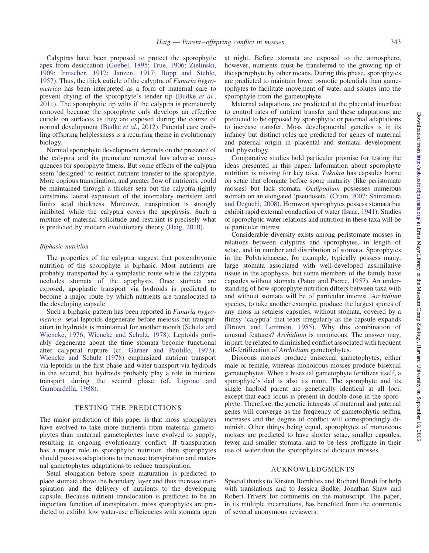Calyptras have been proposed to protect the sporophytic apex from desiccation ([Goebel, 1895](#page-7-0); [True, 1906;](#page-8-0) [Zielinski,](#page-8-0) [1909;](#page-8-0) [Irmscher, 1912;](#page-7-0) [Janzen, 1917;](#page-7-0) [Bopp and Stehle,](#page-7-0) [1957\)](#page-7-0). Thus, the thick cuticle of the calyptra of Funaria hygrometrica has been interpreted as a form of maternal care to prevent drying of the sporophyte's tender tip ([Budke](#page-7-0) et al., [2011\)](#page-7-0). The sporophytic tip wilts if the calyptra is prematurely removed because the sporophyte only develops an effective cuticle on surfaces as they are exposed during the course of normal development ([Budke](#page-7-0) et al., 2012). Parental care enabling offspring helplessness is a recurring theme in evolutionary biology.

Normal sporophyte development depends on the presence of the calyptra and its premature removal has adverse consequences for sporophyte fitness. But some effects of the calyptra seem 'designed' to restrict nutrient transfer to the sporophyte. More copious transpiration, and greater flow of nutrients, could be maintained through a thicker seta but the calyptra tightly constrains lateral expansion of the intercalary meristem and limits setal thickness. Moreover, transpiration is strongly inhibited while the calyptra covers the apophysis. Such a mixture of maternal solicitude and restraint is precisely what is predicted by modern evolutionary theory ([Haig, 2010](#page-7-0)).

#### Biphasic nutrition

The properties of the calyptra suggest that postembryonic nutrition of the sporophyte is biphasic. Most nutrients are probably transported by a symplastic route while the calyptra occludes stomata of the apophysis. Once stomata are exposed, apoplastic transport via hydroids is predicted to become a major route by which nutrients are translocated to the developing capsule.

Such a biphasic pattern has been reported in Funaria hygrometrica: setal leptoids degenerate before meiosis but transpiration in hydroids is maintained for another month [\(Schulz and](#page-8-0) [Wiencke, 1976;](#page-8-0) [Wiencke and Schulz, 1978\)](#page-8-0). Leptoids probably degenerate about the time stomata become functional after calyptral rupture (cf. [Garner and Paolillo, 1973\)](#page-7-0). [Wiencke and Schulz \(1978\)](#page-8-0) emphasized nutrient transport via leptoids in the first phase and water transport via hydroids in the second, but hydroids probably play a role in nutrient transport during the second phase (cf. [Ligrone and](#page-7-0) [Gambardella, 1988](#page-7-0)).

## TESTING THE PREDICTIONS

The major prediction of this paper is that moss sporophytes have evolved to take more nutrients from maternal gametophytes than maternal gametophytes have evolved to supply, resulting in ongoing evolutionary conflict. If transpiration has a major role in sporophytic nutrition, then sporophytes should possess adaptations to increase transpiration and maternal gametophytes adaptations to reduce transpiration.

Setal elongation before spore maturation is predicted to place stomata above the boundary layer and thus increase transpiration and the delivery of nutrients to the developing capsule. Because nutrient translocation is predicted to be an important function of transpiration, moss sporophytes are predicted to exhibit low water-use efficiencies with stomata open at night. Before stomata are exposed to the atmosphere, however, nutrients must be transferred to the growing tip of the sporophyte by other means. During this phase, sporophytes are predicted to maintain lower osmotic potentials than gametophytes to facilitate movement of water and solutes into the sporophyte from the gametophyte.

Maternal adaptations are predicted at the placental interface to control rates of nutrient transfer and these adaptations are predicted to be opposed by sporophytic or paternal adaptations to increase transfer. Moss developmental genetics is in its infancy but distinct roles are predicted for genes of maternal and paternal origin in placental and stomatal development and physiology.

Comparative studies hold particular promise for testing the ideas presented in this paper. Information about sporophyte nutrition is missing for key taxa. Takakia has capsules borne on setae that elongate before spore maturity (like peristomate mosses) but lack stomata. Oedipodium possesses numerous stomata on an elongated 'pseudoseta' ([Crum, 2007;](#page-7-0) [Shimamura](#page-8-0) [and Deguchi, 2008\)](#page-8-0). Hornwort sporophytes possess stomata but exhibit rapid external conduction of water [\(Isaac, 1941\)](#page-7-0). Studies of sporophytic water relations and nutrition in these taxa will be of particular interest.

Considerable diversity exists among peristomate mosses in relations between calyptras and sporophytes, in length of setae, and in number and distribution of stomata. Sporophytes in the Polytrichaceae, for example, typically possess many, large stomata associated with well-developed assimilative tissue in the apophysis, but some members of the family have capsules without stomata (Paton and Pierce, 1957). An understanding of how sporophyte nutrition differs between taxa with and without stomata will be of particular interest. Archidium species, to take another example, produce the largest spores of any moss in setaless capsules, without stomata, covered by a flimsy 'calyptra' that tears irregularly as the capsule expands [\(Brown and Lemmon, 1985\)](#page-7-0). Why this combination of unusual features? Archidium is monoicous. The answer may, in part, be related to diminished conflict associated with frequent self-fertilization of Archidium gametophytes.

Dioicous mosses produce unisexual gametophytes, either male or female, whereas monoicous mosses produce bisexual gametophytes. When a bisexual gametophyte fertilizes itself, a sporophyte's dad is also its mum. The sporophyte and its single haploid parent are genetically identical at all loci, except that each locus is present in double dose in the sporophyte. Therefore, the genetic interests of maternal and paternal genes will converge as the frequency of gametophytic selfing increases and the degree of conflict will correspondingly diminish. Other things being equal, sporophytes of monoicous mosses are predicted to have shorter setae, smaller capsules, fewer and smaller stomata, and to be less profligate in their use of water than the sporophytes of dioicous mosses.

## ACKNOWLEDGMENTS

Special thanks to Kirsten Bomblies and Richard Bondi for help with translations and to Jessica Budke, Jonathan Shaw and Robert Trivers for comments on the manuscript. The paper, in its multiple incarnations, has benefited from the comments of several anonymous reviewers.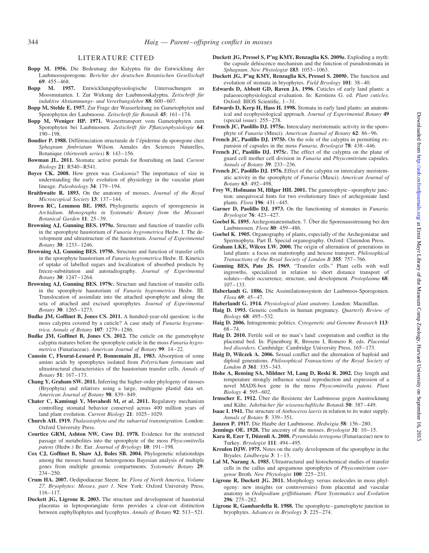#### LITERATURE CITED

- <span id="page-7-0"></span>Bopp M. 1956. Die Bedeutung der Kalyptra für die Entwicklung der Laubmoossporogone. Berichte der deutschen Botanischen Gesellschaft 69: 455–468.
- Bopp M. 1957. Entwicklungsphysiologische Untersuchungen an Moosmutanten. I. Zur Wirkung der Laubmooskalyptra. Zeitschrift für induktive Abstammungs- und Vererbungslehre 88: 600–607.
- Bopp M, Stehle E. 1957. Zur Frage der Wasserleitung im Gametophyten und Sporophyten der Laubmoose. Zeitschrift für Botanik 45: 161–174.
- Bopp M, Weniger HP. 1971. Wassertransport vom Gametophyten zum Sporophyten bei Laubmoosen. Zeitschrift für Pflanzenphysiologie 64: 190–198.
- Boudier P. 1988. Différenciation structurale de l'épiderme du sporogone chez Sphagnum fimbriatum Wilson. Annales des Sciences Naturelles, Botanique (thirteenth series) 8: 143– 156.
- Bowman JL. 2011. Stomata: active portals for flourishing on land. Current Biology 21: R540–R541.
- Boyce CK. 2008. How green was *Cooksonia*? The importance of size in understanding the early evolution of physiology in the vascular plant lineage. Paleobiology 34: 179-194.
- Braithwaite R. 1893. On the anatomy of mosses. Journal of the Royal Microscopical Society 13: 137 –144.
- Brown RC, Lemmon BE. 1985. Phylogenetic aspects of sporogenesis in Archidium. Monographs in Systematic Botany from the Missouri Botanical Garden 11: 25-39.
- Browning AJ, Gunning BES. 1979a. Structure and function of transfer cells in the sporophyte haustorium of Funaria hygrometrica Hedw. I. The development and ultrastructure of the haustorium. Journal of Experimental Botany 30: 1233– 1246.
- Browning AJ, Gunning BES. 1979b. Structure and function of transfer cells in the sporophyte haustorium of Funaria hygrometrica Hedw. II. Kinetics of uptake of labelled sugars and localization of absorbed products by freeze-substitution and autoradiography. Journal of Experimental Botany 30: 1247– 1264.
- Browning AJ, Gunning BES. 1979c. Structure and function of transfer cells in the sporophyte haustorium of Funaria hygrometrica Hedw. III. Translocation of assimilate into the attached sporophyte and along the seta of attached and excised sporophytes. Journal of Experimental Botany 30: 1265– 1273.
- Budke JM, Goffinet B, Jones CS. 2011. A hundred-year-old question: is the moss calyptra covered by a cuticle? A case study of Funaria hygrometrica. Annals of Botany 107: 1279–1286.
- Budke JM, Goffinet B, Jones CS. 2012. The cuticle on the gametophyte calyptra matures before the sporophyte cuticle in the moss Funaria hygrometrica (Funariaceae). American Journal of Botany 99: 14–22.
- Caussin C, Fleurat-Lessard P, Bonnemain JL. 1983. Absorption of some amino acids by sporophytes isolated from Polytrichum formosum and ultrastructural characteristics of the haustorium transfer cells. Annals of Botany 51: 167–173.
- Chang Y, Graham SW. 2011. Inferring the higher-order phylogeny of mosses (Bryophyta) and relatives using a large, multigene plastid data set. American Journal of Botany 98: 839– 849.
- Chater C, Kamisugi Y, Movahedi M, et al. 2011. Regulatory mechanism controlling stomatal behavior conserved across 400 million years of land plant evolution. Current Biology 21: 1025-1029.
- Church AH. 1919. Thalassiophyta and the subaerial transmigration. London: Oxford University Press.
- Courtice GRM, Ashton NW, Cove DJ. 1978. Evidence for the restricted passage of metabolites into the sporophyte of the moss Physcomitrella patens (Hedw.) Br. Eur. Journal of Bryology 10: 191-198.
- Cox CJ, Goffinet B, Shaw AJ, Boles SB. 2004. Phylogenetic relationships among the mosses based on heterogenous Bayesian analysis of multiple genes from multiple genomic compartments. Systematic Botany 29: 234–250.
- Crum HA. 2007. Oedipodiaceae Steere. In: Flora of North America, Volume 27. Bryophytes: Mosses, part 1. New York: Oxford University Press, 116–117.
- Duckett JG, Ligrone R. 2003. The structure and development of haustorial placentas in leptosporangiate ferns provides a clear-cut distinction between euphyllophytes and lycophytes. Annals of Botany 92: 513–521.
- Duckett JG, Pressel S, P'ng KMY, Renzaglia KS. 2009a. Exploding a myth: the capsule dehiscence mechanism and the function of pseudostomata in Sphagnum. New Phytologist 183: 1053-1063.
- Duckett JG, P'ng KMY, Renzaglia KS, Pressel S. 2009b. The function and evolution of stomata in bryophytes. Field Bryology 101: 38-40.
- Edwards D, Abbott GD, Raven JA. 1996. Cuticles of early land plants: a palaeoecophysiological evaluation. In: Kerstiens G. ed. Plant cuticles. Oxford: BIOS Scientific, 1-31.
- Edwards D, Kerp H, Hass H. 1998. Stomata in early land plants: an anatomical and ecophysiological approach. Journal of Experimental Botany 49 (special issue): 255–278.
- French JC, Paolillo DJ. 1975a. Intercalary meristematic activity in the sporophyte of Funaria (Musci). American Journal of Botany 62: 86–96.
- French JC, Paolillo DJ. 1975b. On the role of the calyptra in permitting expansion of capsules in the moss Funaria. Bryologist 78: 438–446.
- French JC, Paolillo DJ. 1975c. The effect of the calyptra on the plane of guard cell mother cell division in Funaria and Physcomitrium capsules. Annals of Botany 39: 233–236.
- French JC, Paolillo DJ. 1976. Effect of the calyptra on intercalary meristematic activity in the sporophyte of Funaria (Musci). American Journal of Botany 63: 492–498.
- Frey W, Hofmann M, Hilger HH. 2001. The gametophyte –sporophyte junction: unequivocal hints for two evolutionary lines of archegoniate land plants. Flora 196: 431– 445.
- Garner D, Paolillo DJ. 1973. On the functioning of stomates in Funaria. Bryologist 76: 423– 427.
- Goebel K. 1895. Archegoniatenstudien. 7. Über die Sporenausstreuung bei den Laubmoosen. Flora 80: 459–486.
- Goebel K. 1905. Organography of plants, especially of the Archegoniatae and Spermophyta. Part II. Special organography. Oxford: Clarendon Press.
- Graham LKE, Wilcox LW. 2000. The origin of alternation of generations in land plants: a focus on matrotrophy and hexose transport. Philosophical Transactions of the Royal Society of London B 355: 757–766.
- Gunning BES, Pate JS. 1969. "Transfer cells." Plant cells with wall ingrowths, specialized in relation to short distance transport of solutes—their occurrence, structure, and development. Protoplasma 68:  $107 - 133$
- Haberlandt G. 1886. Die Assimilationssystem der Laubmoos-Sporogonien.  $Flora$  69: 45–47.
- Haberlandt G. 1914. Physiological plant anatomy. London: Macmillan.
- Haig D. 1993. Genetic conflicts in human pregnancy. *Ouarterly Review of* Biology 68: 495-532.
- Haig D. 2006. Intragenomic politics. Cytogenetic and Genome Research 113: 68–74.
- Haig D. 2010. Fertile soil or no man's land: cooperation and conflict in the placental bed. In: Pijnenborg R, Brosens I, Romero R. eds. Placental bed disorders. Cambridge: Cambridge University Press, 165–173.
- Haig D, Wilczek A. 2006. Sexual conflict and the alternation of haploid and diploid generations. Philosophical Transactions of the Royal Society of London B 361: 335–343.
- Hohe A, Rensing SA, Mildner M, Lang D, Reski R. 2002. Day length and temperature strongly influence sexual reproduction and expression of a novel MADS-box gene in the moss Physcomitrella patens. Plant Biology 4: 595–602.
- Irmscher E. 1912. Über die Resistenz der Laubmoose gegen Austrocknung und Kälte. Jahrbücher für wissenschaftliche Botanik 50: 387-449.
- **Isaac I. 1941.** The structure of *Anthoceros laevis* in relation to its water supply. Annals of Botany 5: 339-351.
- Janzen P. 1917. Die Haube der Laubmoose. Hedwigia 58: 156-280.
- Jennings OE. 1928. The ancestry of the mosses. *Bryologist* 31: 10–15.
- Kara R, Ezer T, Düzenli A. 2008. Pyramidula tetragona (Funariaceae) new to Turkey. Bryologist 111: 494– 495.
- Kreulen DJW. 1975. Notes on the early development of the sporophyte in the Bryales. Lindbergia 3: 1– 13.
- Lal M, Narang A. 1985. Ultrastructural and histochemical studies of transfer cells in the callus and apogamous sporophytes of Physcomitrium coorgense Broth. New Phytologist 100: 225–231.
- Ligrone R, Duckett JG. 2011. Morphology versus molecules in moss phylogeny: new insights (or controversies) from placental and vascular anatomy in Oedipodium griffithianum. Plant Systematics and Evolution 296: 275–282.
- Ligrone R, Gambardella R. 1988. The sporophyte– gametophyte junction in bryophytes. Advances in Bryology 3: 225– 274.